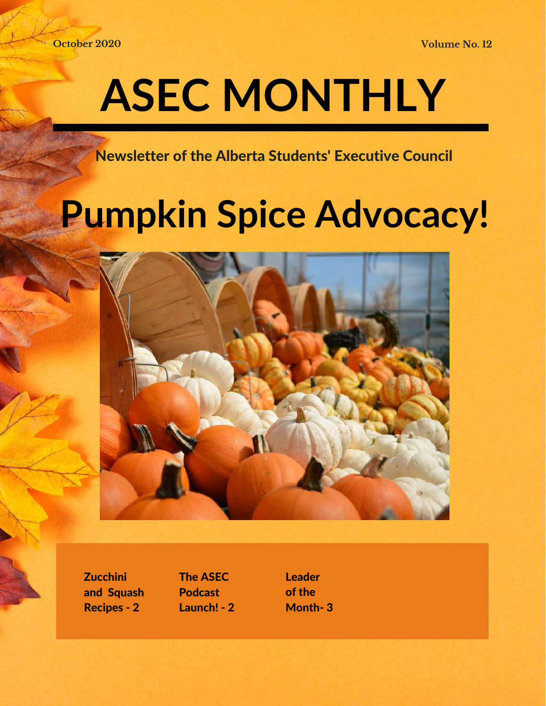**October 2020 Volume No. 12**

## **ASEC MONTHLY**

Newsletter of the Alberta Students' Executive Council

### **Pumpkin Spice Advocacy!**



**Zucchini** and Squash Recipes - 2

The ASEC Podcast Launch! - 2 Leader of the Month- 3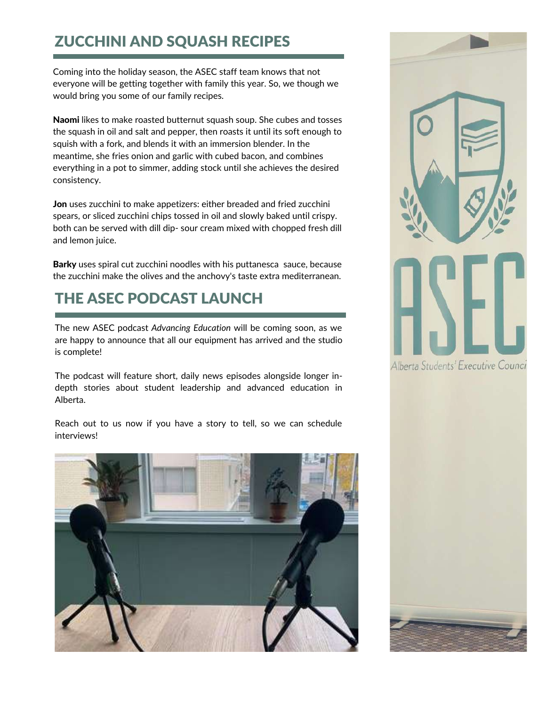#### ZUCCHINI AND SQUASH RECIPES

Coming into the holiday season, the ASEC staff team knows that not everyone will be getting together with family this year. So, we though we would bring you some of our family recipes.

Naomi likes to make roasted butternut squash soup. She cubes and tosses the squash in oil and salt and pepper, then roasts it until its soft enough to squish with a fork, and blends it with an immersion blender. In the meantime, she fries onion and garlic with cubed bacon, and combines everything in a pot to simmer, adding stock until she achieves the desired consistency.

Jon uses zucchini to make appetizers: either breaded and fried zucchini spears, or sliced zucchini chips tossed in oil and slowly baked until crispy. both can be served with dill dip- sour cream mixed with chopped fresh dill and lemon juice.

Barky uses spiral cut zucchini noodles with his puttanesca sauce, because the zucchini make the olives and the anchovy's taste extra mediterranean.

#### THE ASEC PODCAST LAUNCH

The new ASEC podcast *Advancing Education* will be coming soon, as we are happy to announce that all our equipment has arrived and the studio is complete!

The podcast will feature short, daily news episodes alongside longer indepth stories about student leadership and advanced education in Alberta.

Reach out to us now if you have a story to tell, so we can schedule interviews!